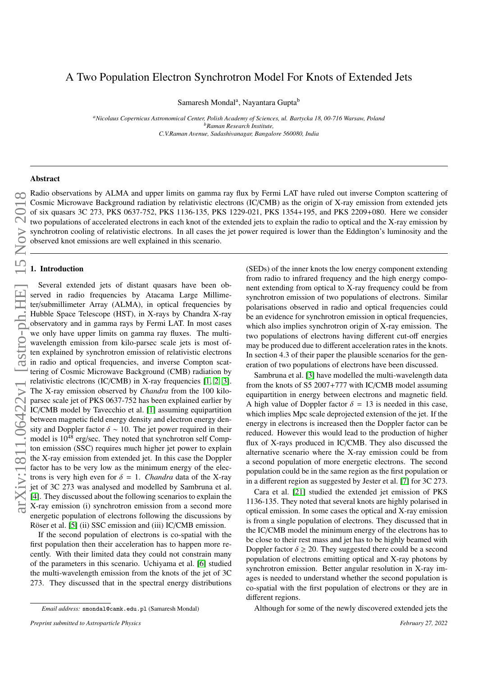# A Two Population Electron Synchrotron Model For Knots of Extended Jets

Samaresh Mondal<sup>a</sup>, Nayantara Gupta<sup>b</sup>

*<sup>a</sup>Nicolaus Copernicus Astronomical Center, Polish Academy of Sciences, ul. Bartycka 18, 00-716 Warsaw, Poland <sup>b</sup>Raman Research Institute, C.V.Raman Avenue, Sadashivanagar, Bangalore 560080, India*

## Abstract

Radio observations by ALMA and upper limits on gamma ray flux by Fermi LAT have ruled out inverse Compton scattering of Cosmic Microwave Background radiation by relativistic electrons (IC/CMB) as the origin of X-ray emission from extended jets of six quasars 3C 273, PKS 0637-752, PKS 1136-135, PKS 1229-021, PKS 1354+195, and PKS 2209+080. Here we consider two populations of accelerated electrons in each knot of the extended jets to explain the radio to optical and the X-ray emission by synchrotron cooling of relativistic electrons. In all cases the jet power required is lower than the Eddington's luminosity and the observed knot emissions are well explained in this scenario. α Radio observation<br>
intertware<br>
intertware<br>
intertware<br>
intertware<br>
intertware<br>
intertware<br>
intertware<br>
intertware<br>
intertware<br>
intertware<br>
intertware<br>
intertware<br>
intertware<br>
intertware

Several extended jets of distant quasars have been observed in radio frequencies by Atacama Large Millimeter/submillimeter Array (ALMA), in optical frequencies by Hubble Space Telescope (HST), in X-rays by Chandra X-ray observatory and in gamma rays by Fermi LAT. In most cases we only have upper limits on gamma ray fluxes. The multiwavelength emission from kilo-parsec scale jets is most often explained by synchrotron emission of relativistic electrons in radio and optical frequencies, and inverse Compton scattering of Cosmic Microwave Background (CMB) radiation by relativistic electrons (IC/CMB) in X-ray frequencies [\[1,](#page-3-0) [2,](#page-3-1) [3\]](#page-3-2). The X-ray emission observed by *Chandra* from the 100 kiloparsec scale jet of PKS 0637-752 has been explained earlier by IC/CMB model by Tavecchio et al. [\[1\]](#page-3-0) assuming equipartition between magnetic field energy density and electron energy density and Doppler factor  $\delta \sim 10$ . The jet power required in their model is  $10^{48}$  erg/sec. They noted that synchrotron self Compton emission (SSC) requires much higher jet power to explain the X-ray emission from extended jet. In this case the Doppler factor has to be very low as the minimum energy of the electrons is very high even for  $\delta = 1$ . *Chandra* data of the X-ray jet of 3C 273 was analysed and modelled by Sambruna et al. [\[4\]](#page-3-3). They discussed about the following scenarios to explain the X-ray emission (i) synchrotron emission from a second more energetic population of electrons following the discussions by Röser et al. [\[5\]](#page-3-4) (ii) SSC emission and (iii) IC/CMB emission.

If the second population of electrons is co-spatial with the first population then their acceleration has to happen more recently. With their limited data they could not constrain many of the parameters in this scenario. Uchiyama et al. [\[6\]](#page-3-5) studied the multi-wavelength emission from the knots of the jet of 3C 273. They discussed that in the spectral energy distributions

(SEDs) of the inner knots the low energy component extending from radio to infrared frequency and the high energy component extending from optical to X-ray frequency could be from synchrotron emission of two populations of electrons. Similar polarisations observed in radio and optical frequencies could be an evidence for synchrotron emission in optical frequencies, which also implies synchrotron origin of X-ray emission. The two populations of electrons having different cut-off energies may be produced due to different acceleration rates in the knots. In section 4.3 of their paper the plausible scenarios for the generation of two populations of electrons have been discussed.

Sambruna et al. [\[3\]](#page-3-2) have modelled the multi-wavelength data from the knots of S5 2007+777 with IC/CMB model assuming equipartition in energy between electrons and magnetic field. A high value of Doppler factor  $\delta = 13$  is needed in this case, which implies Mpc scale deprojected extension of the jet. If the energy in electrons is increased then the Doppler factor can be reduced. However this would lead to the production of higher flux of X-rays produced in IC/CMB. They also discussed the alternative scenario where the X-ray emission could be from a second population of more energetic electrons. The second population could be in the same region as the first population or in a different region as suggested by Jester et al. [\[7\]](#page-3-6) for 3C 273.

Cara et al. [\[21\]](#page-3-7) studied the extended jet emission of PKS 1136-135. They noted that several knots are highly polarised in optical emission. In some cases the optical and X-ray emission is from a single population of electrons. They discussed that in the IC/CMB model the minimum energy of the electrons has to be close to their rest mass and jet has to be highly beamed with Doppler factor  $\delta \geq 20$ . They suggested there could be a second population of electrons emitting optical and X-ray photons by synchrotron emission. Better angular resolution in X-ray images is needed to understand whether the second population is co-spatial with the first population of electrons or they are in different regions.

Although for some of the newly discovered extended jets the

*Email address:* smondal@camk.edu.pl (Samaresh Mondal)

*Preprint submitted to Astroparticle Physics February 27, 2022*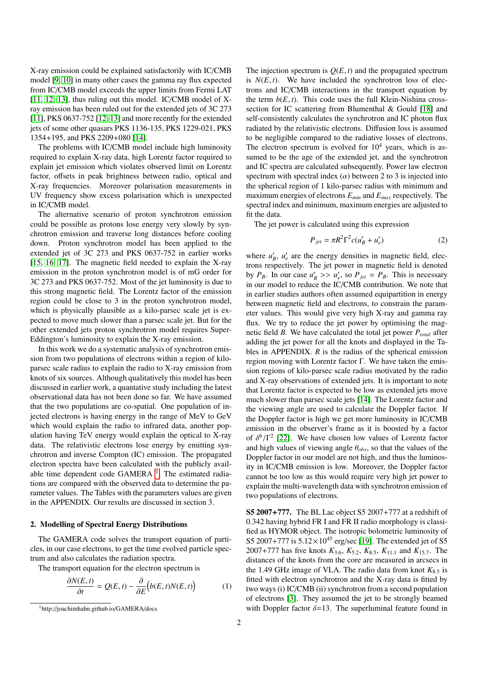X-ray emission could be explained satisfactorily with IC/CMB model [\[9,](#page-3-8) [10\]](#page-3-9) in many other cases the gamma ray flux expected from IC/CMB model exceeds the upper limits from Fermi LAT [\[11,](#page-10-0) [12,](#page-10-1) [13\]](#page-10-2), thus ruling out this model. IC/CMB model of Xray emission has been ruled out for the extended jets of 3C 273 [\[11\]](#page-10-0), PKS 0637-752 [\[12,](#page-10-1) [13\]](#page-10-2) and more recently for the extended jets of some other quasars PKS 1136-135, PKS 1229-021, PKS 1354+195, and PKS 2209+080 [\[14\]](#page-10-3).

The problems with IC/CMB model include high luminosity required to explain X-ray data, high Lorentz factor required to explain jet emission which violates observed limit on Lorentz factor, offsets in peak brightness between radio, optical and X-ray frequencies. Moreover polarisation measurements in UV frequency show excess polarisation which is unexpected in IC/CMB model.

The alternative scenario of proton synchrotron emission could be possible as protons lose energy very slowly by synchrotron emission and traverse long distances before cooling down. Proton synchrotron model has been applied to the extended jet of 3C 273 and PKS 0637-752 in earlier works [\[15,](#page-10-4) [16,](#page-10-5) [17\]](#page-10-6). The magnetic field needed to explain the X-ray emission in the proton synchrotron model is of mG order for 3C 273 and PKS 0637-752. Most of the jet luminosity is due to this strong magnetic field. The Lorentz factor of the emission region could be close to 3 in the proton synchrotron model, which is physically plausible as a kilo-parsec scale jet is expected to move much slower than a parsec scale jet. But for the other extended jets proton synchrotron model requires Super-Eddington's luminosity to explain the X-ray emission.

In this work we do a systematic analysis of synchrotron emission from two populations of electrons within a region of kiloparsec scale radius to explain the radio to X-ray emission from knots of six sources. Although qualitatively this model has been discussed in earlier work, a quantative study including the latest observational data has not been done so far. We have assumed that the two populations are co-spatial. One population of injected electrons is having energy in the range of MeV to GeV which would explain the radio to infrared data, another population having TeV energy would explain the optical to X-ray data. The relativistic electrons lose energy by emitting synchrotron and inverse Compton (IC) emission. The propagated electron spectra have been calculated with the publicly avail-able time dependent code GAMERA<sup>[1](#page-1-0)</sup>. The estimated radiations are compared with the observed data to determine the parameter values. The Tables with the parameters values are given in the APPENDIX. Our results are discussed in section 3.

#### 2. Modelling of Spectral Energy Distributions

The GAMERA code solves the transport equation of particles, in our case electrons, to get the time evolved particle spectrum and also calculates the radiation spectra.

The transport equation for the electron spectrum is

$$
\frac{\partial N(E,t)}{\partial t} = Q(E,t) - \frac{\partial}{\partial E} (b(E,t)N(E,t)) \tag{1}
$$

The injection spectrum is  $Q(E, t)$  and the propagated spectrum is  $N(E, t)$ . We have included the synchrotron loss of electrons and IC/CMB interactions in the transport equation by the term  $b(E, t)$ . This code uses the full Klein-Nishina crosssection for IC scattering from Blumenthal & Gould [\[18\]](#page-10-7) and self-consistently calculates the synchrotron and IC photon flux radiated by the relativistic electrons. Diffusion loss is assumed to be negligible compared to the radiative losses of electrons. The electron spectrum is evolved for  $10<sup>4</sup>$  years, which is assumed to be the age of the extended jet, and the synchrotron and IC spectra are calculated subsequently. Power law electron spectrum with spectral index  $(\alpha)$  between 2 to 3 is injected into the spherical region of 1 kilo-parsec radius with minimum and maximum energies of electrons *Emin* and *Emax* respectively. The spectral index and minimum, maximum energies are adjusted to fit the data.

The jet power is calculated using this expression

$$
P_{jet} = \pi R^2 \Gamma^2 c (u'_B + u'_e)
$$
 (2)

where  $u'_B$ ,  $u'_e$  are the energy densities in magnetic field, electrons respectively. The jet power in magnetic field is denoted by  $P_B$ . In our case  $u'_B \geq u'_e$ , so  $P_{jet} \simeq P_B$ . This is necessary<br>in our model to reduce the IC/CMB contribution. We note that in our model to reduce the IC/CMB contribution. We note that in earlier studies authors often assumed equipartition in energy between magnetic field and electrons, to constrain the parameter values. This would give very high X-ray and gamma ray flux. We try to reduce the jet power by optimising the magnetic field *B*. We have calculated the total jet power *Ptotal* after adding the jet power for all the knots and displayed in the Tables in APPENDIX. *R* is the radius of the spherical emission region moving with Lorentz factor Γ. We have taken the emission regions of kilo-parsec scale radius motivated by the radio and X-ray observations of extended jets. It is important to note that Lorentz factor is expected to be low as extended jets move much slower than parsec scale jets [\[14\]](#page-10-3). The Lorentz factor and the viewing angle are used to calculate the Doppler factor. If the Doppler factor is high we get more luminosity in IC/CMB emission in the observer's frame as it is boosted by a factor of  $\delta^6/\Gamma^2$  [\[22\]](#page-10-8). We have chosen low values of Lorentz factor<br>and high values of viewing angle  $\theta$ . so that the values of the and high values of viewing angle  $\theta_{obs}$ , so that the values of the Doppler factor in our model are not high, and thus the luminosity in IC/CMB emission is low. Moreover, the Doppler factor cannot be too low as this would require very high jet power to explain the multi-wavelength data with synchrotron emission of two populations of electrons.

S5 2007+777. The BL Lac object S5 2007+777 at a redshift of 0.342 having hybrid FR I and FR II radio morphology is classified as HYMOR object. The isotropic bolometric luminosity of S5 2007+777 is  $5.12 \times 10^{45}$  erg/sec [\[19\]](#page-10-9). The extended jet of S5 <sup>2007</sup>+777 has five knots *<sup>K</sup>*<sup>3</sup>.<sup>6</sup>, *<sup>K</sup>*<sup>5</sup>.<sup>2</sup>, *<sup>K</sup>*<sup>8</sup>.<sup>5</sup>, *<sup>K</sup>*<sup>11</sup>.<sup>1</sup> and *<sup>K</sup>*<sup>15</sup>.<sup>7</sup>. The distances of the knots from the core are measured in arcsecs in the 1.49 GHz image of VLA. The radio data from knot  $K_{8.5}$  is fitted with electron synchrotron and the X-ray data is fitted by two ways (i) IC/CMB (ii) synchrotron from a second population of electrons [\[3\]](#page-3-2). They assumed the jet to be strongly beamed with Doppler factor  $\delta = 13$ . The superluminal feature found in

<span id="page-1-0"></span><sup>1</sup>http://joachimhahn.github.io/GAMERA/docs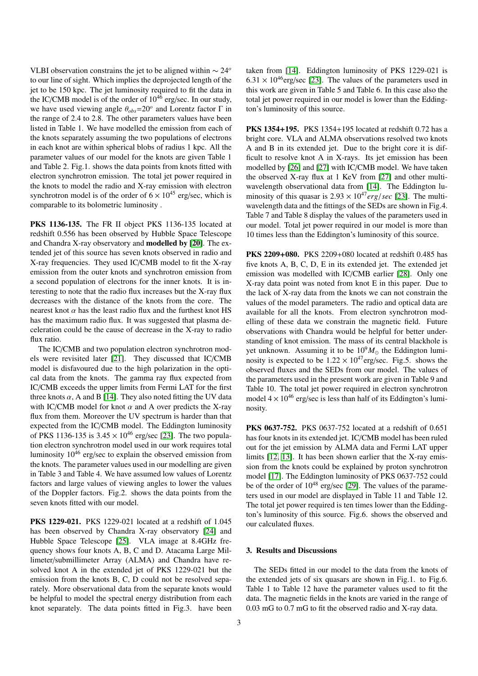VLBI observation constrains the jet to be aligned within ∼ 24*<sup>o</sup>* to our line of sight. Which implies the deprojected length of the jet to be 150 kpc. The jet luminosity required to fit the data in the IC/CMB model is of the order of  $10^{46}$  erg/sec. In our study, we have used viewing angle  $\theta_{obs} = 20^\circ$  and Lorentz factor  $\Gamma$  in the range of 2.4 to 2.8. The other parameters values have been the range of 2.4 to 2.8. The other parameters values have been listed in Table 1. We have modelled the emission from each of the knots separately assuming the two populations of electrons in each knot are within spherical blobs of radius 1 kpc. All the parameter values of our model for the knots are given Table 1 and Table 2. Fig.1. shows the data points from knots fitted with electron synchrotron emission. The total jet power required in the knots to model the radio and X-ray emission with electron synchrotron model is of the order of  $6 \times 10^{45}$  erg/sec, which is comparable to its bolometric luminosity .

PKS 1136-135. The FR II object PKS 1136-135 located at redshift 0.556 has been observed by Hubble Space Telescope and Chandra X-ray observatory and modelled by [\[20\]](#page-10-10). The extended jet of this source has seven knots observed in radio and X-ray frequencies. They used IC/CMB model to fit the X-ray emission from the outer knots and synchrotron emission from a second population of electrons for the inner knots. It is interesting to note that the radio flux increases but the X-ray flux decreases with the distance of the knots from the core. The nearest knot  $\alpha$  has the least radio flux and the furthest knot HS has the maximum radio flux. It was suggested that plasma deceleration could be the cause of decrease in the X-ray to radio flux ratio.

The IC/CMB and two population electron synchrotron models were revisited later [\[21\]](#page-3-7). They discussed that IC/CMB model is disfavoured due to the high polarization in the optical data from the knots. The gamma ray flux expected from IC/CMB exceeds the upper limits from Fermi LAT for the first three knots  $\alpha$ , A and B [\[14\]](#page-10-3). They also noted fitting the UV data with IC/CMB model for knot  $\alpha$  and A over predicts the X-ray flux from them. Moreover the UV spectrum is harder than that expected from the IC/CMB model. The Eddington luminosity of PKS 1136-135 is  $3.45 \times 10^{46}$  erg/sec [\[23\]](#page-10-11). The two population electron synchrotron model used in our work requires total luminosity  $10^{46}$  erg/sec to explain the observed emission from the knots. The parameter values used in our modelling are given in Table 3 and Table 4. We have assumed low values of Lorentz factors and large values of viewing angles to lower the values of the Doppler factors. Fig.2. shows the data points from the seven knots fitted with our model.

PKS 1229-021. PKS 1229-021 located at a redshift of 1.045 has been observed by Chandra X-ray observatory [\[24\]](#page-10-12) and Hubble Space Telescope [\[25\]](#page-10-13). VLA image at 8.4GHz frequency shows four knots A, B, C and D. Atacama Large Millimeter/submillimeter Array (ALMA) and Chandra have resolved knot A in the extended jet of PKS 1229-021 but the emission from the knots B, C, D could not be resolved separately. More observational data from the separate knots would be helpful to model the spectral energy distribution from each knot separately. The data points fitted in Fig.3. have been

taken from [\[14\]](#page-10-3). Eddington luminosity of PKS 1229-021 is  $6.31 \times 10^{46}$ erg/sec [\[23\]](#page-10-11). The values of the parameters used in this work are given in Table 5 and Table 6. In this case also the total jet power required in our model is lower than the Eddington's luminosity of this source.

PKS 1354+195. PKS 1354+195 located at redshift 0.72 has a bright core. VLA and ALMA observations resolved two knots A and B in its extended jet. Due to the bright core it is difficult to resolve knot A in X-rays. Its jet emission has been modelled by [\[26\]](#page-10-14) and [\[27\]](#page-10-15) with IC/CMB model. We have taken the observed X-ray flux at 1 KeV from [\[27\]](#page-10-15) and other multiwavelength observational data from [\[14\]](#page-10-3). The Eddington luminosity of this quasar is  $2.93 \times 10^{47} erg/sec$  [\[23\]](#page-10-11). The multiwavelength data and the fittings of the SEDs are shown in Fig.4. Table 7 and Table 8 display the values of the parameters used in our model. Total jet power required in our model is more than 10 times less than the Eddington's luminosity of this source.

PKS 2209+080. PKS 2209+080 located at redshift 0.485 has five knots A, B, C, D, E in its extended jet. The extended jet emission was modelled with IC/CMB earlier [\[28\]](#page-10-16). Only one X-ray data point was noted from knot E in this paper. Due to the lack of X-ray data from the knots we can not constrain the values of the model parameters. The radio and optical data are available for all the knots. From electron synchrotron modelling of these data we constrain the magnetic field. Future observations with Chandra would be helpful for better understanding of knot emission. The mass of its central blackhole is yet unknown. Assuming it to be  $10^{9}M_{\odot}$  the Eddington luminosity is expected to be  $1.22 \times 10^{47}$  erg/sec. Fig.5. shows the observed fluxes and the SEDs from our model. The values of the parameters used in the present work are given in Table 9 and Table 10. The total jet power required in electron synchrotron model  $4 \times 10^{46}$  erg/sec is less than half of its Eddington's luminosity.

PKS 0637-752. PKS 0637-752 located at a redshift of 0.651 has four knots in its extended jet. IC/CMB model has been ruled out for the jet emission by ALMA data and Fermi LAT upper limits [\[12,](#page-10-1) [13\]](#page-10-2). It has been shown earlier that the X-ray emission from the knots could be explained by proton synchrotron model [\[17\]](#page-10-6). The Eddington luminosity of PKS 0637-752 could be of the order of  $10^{48}$  erg/sec [\[29\]](#page-10-17). The values of the parameters used in our model are displayed in Table 11 and Table 12. The total jet power required is ten times lower than the Eddington's luminosity of this source. Fig.6. shows the observed and our calculated fluxes.

#### 3. Results and Discussions

The SEDs fitted in our model to the data from the knots of the extended jets of six quasars are shown in Fig.1. to Fig.6. Table 1 to Table 12 have the parameter values used to fit the data. The magnetic fields in the knots are varied in the range of 0.03 mG to 0.7 mG to fit the observed radio and X-ray data.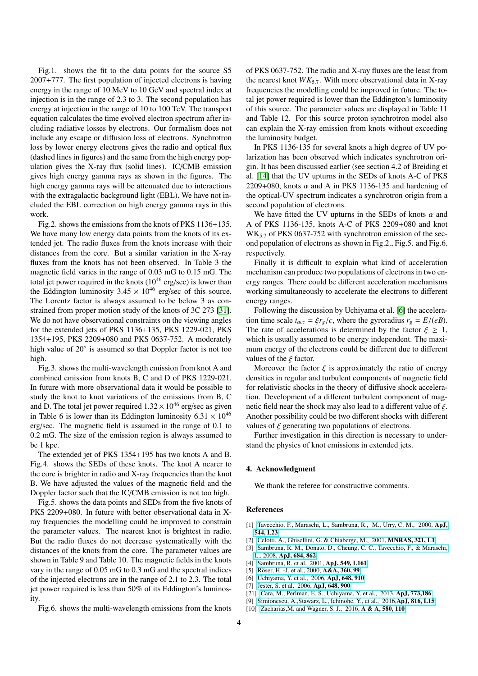Fig.1. shows the fit to the data points for the source S5 2007+777. The first population of injected electrons is having energy in the range of 10 MeV to 10 GeV and spectral index at injection is in the range of 2.3 to 3. The second population has energy at injection in the range of 10 to 100 TeV. The transport equation calculates the time evolved electron spectrum after including radiative losses by electrons. Our formalism does not include any escape or diffusion loss of electrons. Synchrotron loss by lower energy electrons gives the radio and optical flux (dashed lines in figures) and the same from the high energy population gives the X-ray flux (solid lines). IC/CMB emission gives high energy gamma rays as shown in the figures. The high energy gamma rays will be attenuated due to interactions with the extragalactic background light (EBL). We have not included the EBL correction on high energy gamma rays in this work.

Fig.2. shows the emissions from the knots of PKS 1136+135. We have many low energy data points from the knots of its extended jet. The radio fluxes from the knots increase with their distances from the core. But a similar variation in the X-ray fluxes from the knots has not been observed. In Table 3 the magnetic field varies in the range of 0.03 mG to 0.15 mG. The total jet power required in the knots  $(10^{46} \text{ erg/sec})$  is lower than the Eddington luminosity  $3.45 \times 10^{46}$  erg/sec of this source. The Lorentz factor is always assumed to be below 3 as constrained from proper motion study of the knots of 3C 273 [\[31\]](#page-10-18). We do not have observational constraints on the viewing angles for the extended jets of PKS 1136+135, PKS 1229-021, PKS 1354+195, PKS 2209+080 and PKS 0637-752. A moderately high value of 20*<sup>o</sup>* is assumed so that Doppler factor is not too high.

Fig.3. shows the multi-wavelength emission from knot A and combined emission from knots B, C and D of PKS 1229-021. In future with more observational data it would be possible to study the knot to knot variations of the emissions from B, C and D. The total jet power required  $1.32 \times 10^{46}$  erg/sec as given in Table 6 is lower than its Eddington luminosity  $6.31 \times 10^{46}$ erg/sec. The magnetic field is assumed in the range of 0.1 to 0.2 mG. The size of the emission region is always assumed to be 1 kpc.

The extended jet of PKS 1354+195 has two knots A and B. Fig.4. shows the SEDs of these knots. The knot A nearer to the core is brighter in radio and X-ray frequencies than the knot B. We have adjusted the values of the magnetic field and the Doppler factor such that the IC/CMB emission is not too high.

Fig.5. shows the data points and SEDs from the five knots of PKS 2209+080. In future with better observational data in Xray frequencies the modelling could be improved to constrain the parameter values. The nearest knot is brightest in radio. But the radio fluxes do not decrease systematically with the distances of the knots from the core. The parameter values are shown in Table 9 and Table 10. The magnetic fields in the knots vary in the range of 0.05 mG to 0.3 mG and the spectral indices of the injected electrons are in the range of 2.1 to 2.3. The total jet power required is less than 50% of its Eddington's luminosity.

Fig.6. shows the multi-wavelength emissions from the knots

of PKS 0637-752. The radio and X-ray fluxes are the least from the nearest knot  $WK_{5.7}$ . With more observational data in X-ray frequencies the modelling could be improved in future. The total jet power required is lower than the Eddington's luminosity of this source. The parameter values are displayed in Table 11 and Table 12. For this source proton synchrotron model also can explain the X-ray emission from knots without exceeding the luminosity budget.

In PKS 1136-135 for several knots a high degree of UV polarization has been observed which indicates synchrotron origin. It has been discussed earlier (see section 4.2 of Breiding et al. [\[14\]](#page-10-3) that the UV upturns in the SEDs of knots A-C of PKS 2209+080, knots  $\alpha$  and A in PKS 1136-135 and hardening of the optical-UV spectrum indicates a synchrotron origin from a second population of electrons.

We have fitted the UV upturns in the SEDs of knots  $\alpha$  and A of PKS 1136-135, knots A-C of PKS 2209+080 and knot WK<sub>5.7</sub> of PKS 0637-752 with synchrotron emission of the second population of electrons as shown in Fig.2., Fig.5. and Fig.6. respectively.

Finally it is difficult to explain what kind of acceleration mechanism can produce two populations of electrons in two energy ranges. There could be different acceleration mechanisms working simultaneously to accelerate the electrons to different energy ranges.

Following the discussion by Uchiyama et al. [\[6\]](#page-3-5) the acceleration time scale  $t_{acc} = \xi r_g/c$ , where the gyroradius  $r_g = E/(eB)$ . The rate of accelerations is determined by the factor  $\xi \geq 1$ , which is usually assumed to be energy independent. The maximum energy of the electrons could be different due to different values of the  $\xi$  factor.

Moreover the factor  $\xi$  is approximately the ratio of energy densities in regular and turbulent components of magnetic field for relativistic shocks in the theory of diffusive shock acceleration. Development of a different turbulent component of magnetic field near the shock may also lead to a different value of  $\xi$ . Another possibility could be two different shocks with different values of  $\xi$  generating two populations of electrons.

Further investigation in this direction is necessary to understand the physics of knot emissions in extended jets.

#### 4. Acknowledgment

We thank the referee for constructive comments.

#### References

- <span id="page-3-0"></span>[1] [Tavecchio, F., Maraschi, L., Sambruna, R., M., Urry, C. M., 2000,](http://iopscience.iop.org/article/10.1086/317292/pdf) ApJ, [544, L23](http://iopscience.iop.org/article/10.1086/317292/pdf)
- <span id="page-3-1"></span>[2] [Celotti, A., Ghisellini, G. & Chiaberge, M., 2001,](https://academic.oup.com/mnras/article-lookup/doi/10.1046/j.1365-8711.2001.04160.x) MNRAS, 321, L1
- <span id="page-3-2"></span>[3] [Sambruna, R. M., Donato, D., Cheung, C. C., Tavecchio, F., & Maraschi,](http://adsabs.harvard.edu/abs/2008ApJ...684..862S) L., 2008, [ApJ, 684, 862](http://adsabs.harvard.edu/abs/2008ApJ...684..862S)
- <span id="page-3-3"></span>[4] [Sambruna, R. et al. 2001,](http://adsabs.harvard.edu/abs/2001ApJ...549L.161S ) ApJ, 549, L161
- <span id="page-3-4"></span>[5] Röser, H. -J. et al., 2000, A&A, 360, 99
- <span id="page-3-5"></span>[6] [Uchiyama, Y. et al., 2006,](http://adsabs.harvard.edu/abs/2006ApJ...648..910U) ApJ, 648, 910
- <span id="page-3-6"></span>[7] [Jester, S. et al. 2006,](http://adsabs.harvard.edu/abs/2006ApJ...648..900J) Ap.J, 648, 900
- <span id="page-3-7"></span>[21] [Cara, M., Perlman, E. S., Uchiyama, Y. et al., 2013,](http://ads.nao.ac.jp/abs/2013ApJ...773..186C) ApJ, 773,186
- <span id="page-3-8"></span>[9] [Simionescu, A.,Stawarz, L., Ichinohe, Y., et al., 2016,](http://iopscience.iop.org/article/10.3847/2041-8205/816/1/L15/pdf)ApJ, 816, L15
- <span id="page-3-9"></span>[10] Zacharias, M. and Wagner, S. J., 2016, A & A, 580, 110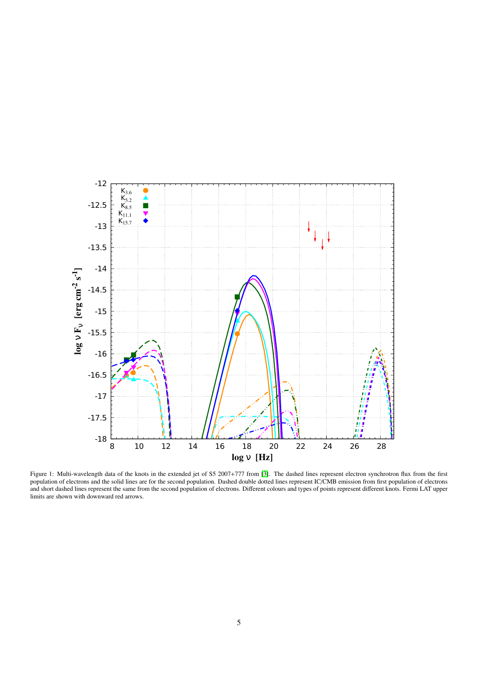

Figure 1: Multi-wavelength data of the knots in the extended jet of S5 2007+777 from [\[3\]](#page-3-2). The dashed lines represent electron synchrotron flux from the first population of electrons and the solid lines are for the second population. Dashed double dotted lines represent IC/CMB emission from first population of electrons and short dashed lines represent the same from the second population of electrons. Different colours and types of points represent different knots. Fermi LAT upper limits are shown with downward red arrows.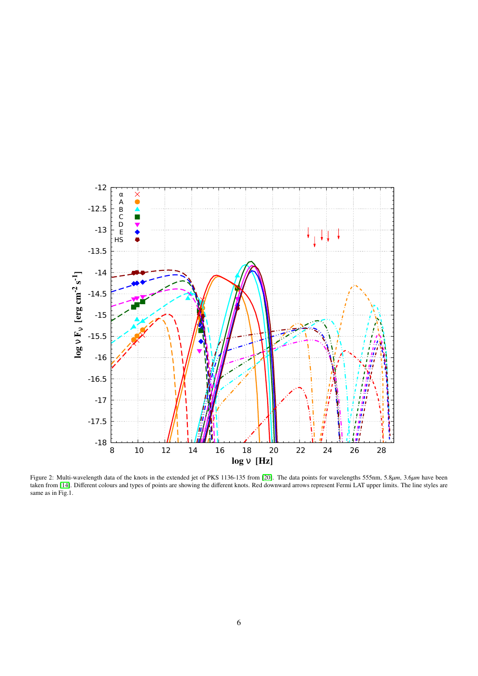

Figure 2: Multi-wavelength data of the knots in the extended jet of PKS 1136-135 from [\[20\]](#page-10-10). The data points for wavelengths 555nm, 5.8 $\mu$ m, 3.6 $\mu$ m have been<br>taken from [\[14\]](#page-10-3). Different colours and types of points are sho same as in Fig.1.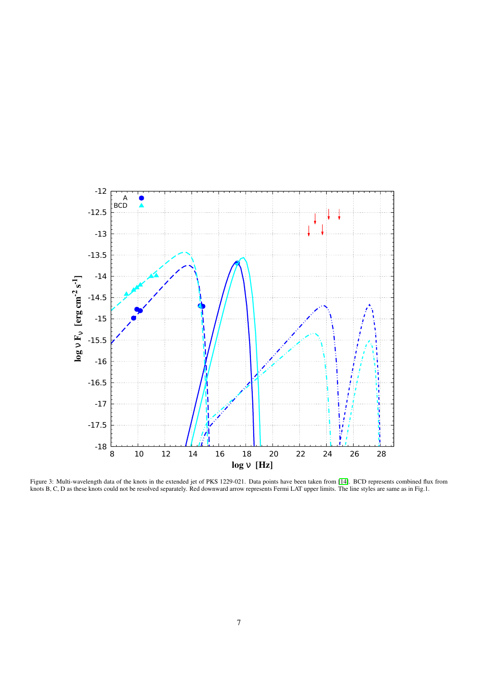

Figure 3: Multi-wavelength data of the knots in the extended jet of PKS 1229-021. Data points have been taken from [\[14\]](#page-10-3). BCD represents combined flux from knots B, C, D as these knots could not be resolved separately. Red downward arrow represents Fermi LAT upper limits. The line styles are same as in Fig.1.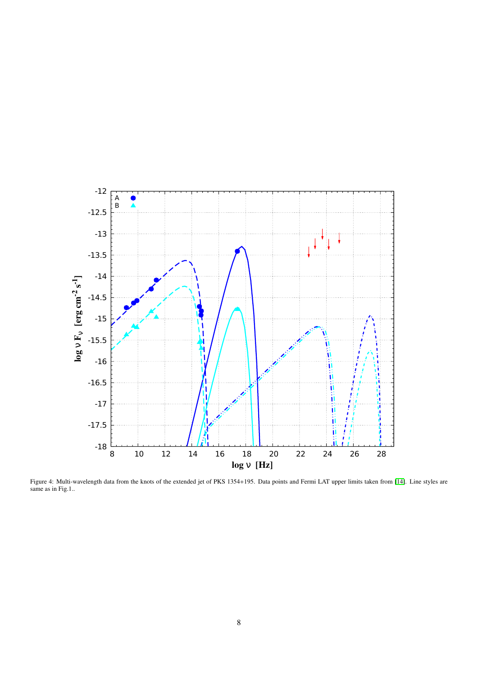

Figure 4: Multi-wavelength data from the knots of the extended jet of PKS 1354+195. Data points and Fermi LAT upper limits taken from [\[14\]](#page-10-3). Line styles are same as in Fig.1..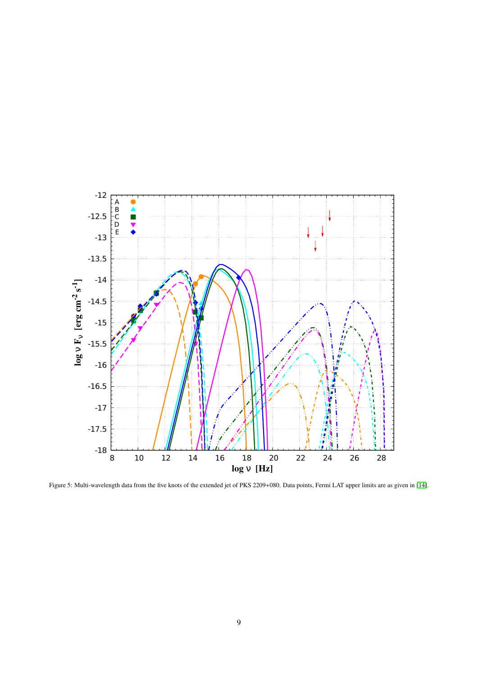

Figure 5: Multi-wavelength data from the five knots of the extended jet of PKS 2209+080. Data points, Fermi LAT upper limits are as given in [\[14\]](#page-10-3).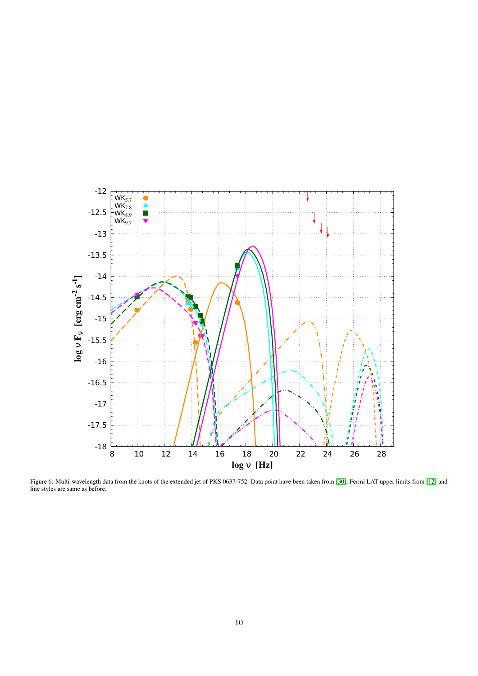

Figure 6: Multi-wavelength data from the knots of the extended jet of PKS 0637-752. Data point have been taken from [\[30\]](#page-10-19), Fermi LAT upper limits from [\[12\]](#page-10-1) and line styles are same as before.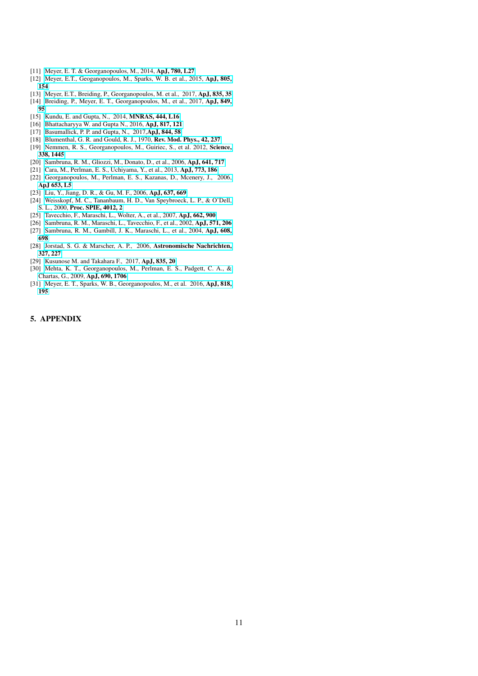- <span id="page-10-0"></span>[11] [Meyer, E. T. & Georganopoulos, M., 2014,](http://iopscience.iop.org/article/10.1088/2041-8205/780/2/L27/pdf) ApJ, 780, L27
- <span id="page-10-1"></span>[12] [Meyer, E.T., Geoganopoulos, M., Sparks, W. B. et al., 2015,](http://iopscience.iop.org/article/10.1088/0004-637X/805/2/154/pdf) ApJ, 805, [154](http://iopscience.iop.org/article/10.1088/0004-637X/805/2/154/pdf)
- <span id="page-10-2"></span>[13] [Meyer, E.T., Breiding, P., Georganopoulos, M. et al., 2017,](http://iopscience.iop.org/article/10.3847/2041-8213/835/2/L35/meta) ApJ, 835, 35
- <span id="page-10-3"></span>[14] [Breiding, P., Meyer, E. T., Georganopoulos, M., et al., 2017,](http://adsabs.harvard.edu/abs/2017arXiv171004250B) ApJ, 849, [95](http://adsabs.harvard.edu/abs/2017arXiv171004250B)
- <span id="page-10-4"></span>[15] [Kundu, E. and Gupta, N., 2014,](https://academic.oup.com/mnrasl/article/444/1/L16/960777/Possible-proton-synchrotron-origin-of-Xray-and) **MNRAS, 444, L16**
- <span id="page-10-5"></span>[16] [Bhattacharyya W. and Gupta N., 2016,](http://iopscience.iop.org/article/10.3847/0004-637X/817/2/121/pdf) ApJ, 817, 121
- <span id="page-10-6"></span>[17] [Basumallick, P. P. and Gupta, N., 2017,](http://iopscience.iop.org/article/10.3847/1538-4357/aa7a12/meta) ApJ, 844, 58
- <span id="page-10-9"></span><span id="page-10-7"></span>[18] [Blumenthal, G. R. and Gould, R. J., 1970,](http://adsabs.harvard.edu/abs/1970RvMP...42..237B) Rev. Mod. Phys., 42, 237 [19] [Nemmen, R. S., Georganopoulos, M., Guiriec, S., et al. 2012,](http://adsabs.harvard.edu/abs/2012Sci...338.1445N) Science, [338, 1445](http://adsabs.harvard.edu/abs/2012Sci...338.1445N)
- <span id="page-10-10"></span>[20] [Sambruna, R. M., Gliozzi, M., Donato, D., et al., 2006,](http://adsabs.harvard.edu/abs/2006ApJ...641..717S) ApJ, 641, 717
- [21] [Cara, M., Perlman, E. S., Uchiyama, Y., et al., 2013,](http://adsabs.harvard.edu/abs/2013ApJ...773..186C) ApJ, 773, 186
- <span id="page-10-8"></span>[22] [Georganopoulos, M., Perlman, E. S., Kazanas, D., Mcenery, J., 2006,](http://iopscience.iop.org/article/10.1086/510452/pdf) [ApJ 653, L5](http://iopscience.iop.org/article/10.1086/510452/pdf)
- <span id="page-10-11"></span>[23] [Liu, Y., Jiang, D. R., & Gu, M. F., 2006,](http://adsabs.harvard.edu/abs/2006ApJ...637..669L) ApJ, 637, 669
- <span id="page-10-12"></span>[24] [Weisskopf, M. C., Tananbaum, H. D., Van Speybroeck, L. P., & O'Dell,](http://adsabs.harvard.edu/abs/2000SPIE.4012....2W) S. L., 2000, [Proc. SPIE, 4012, 2](http://adsabs.harvard.edu/abs/2000SPIE.4012....2W)
- <span id="page-10-13"></span>[25] [Tavecchio, F., Maraschi, L., Wolter, A., et al., 2007,](http://adsabs.harvard.edu/abs/2007ApJ...662..900T) ApJ, 662, 900
- <span id="page-10-14"></span>[26] [Sambruna, R. M., Maraschi, L., Tavecchio, F., et al., 2002,](http://adsabs.harvard.edu/abs/2002ApJ...571..206S) ApJ, 571, 206
- <span id="page-10-15"></span>[27] [Sambruna, R. M., Gambill, J. K., Maraschi, L., et al., 2004,](http://adsabs.harvard.edu/abs/2004ApJ...608..698S) ApJ, 608, [698](http://adsabs.harvard.edu/abs/2004ApJ...608..698S)
- <span id="page-10-16"></span>[28] [Jorstad, S. G. & Marscher, A. P., 2006,](http://onlinelibrary.wiley.com/doi/10.1002/asna.200510512/full) Astronomische Nachrichten, [327, 227](http://onlinelibrary.wiley.com/doi/10.1002/asna.200510512/full)
- <span id="page-10-17"></span>[29] [Kusunose M. and Takahara F., 2017,](http://iopscience.iop.org/article/10.3847/1538-4357/835/1/20/pdf) ApJ, 835, 20
- <span id="page-10-19"></span>[30] [Mehta, K. T., Georganopoulos, M., Perlman, E. S., Padgett, C. A., &](http://adsabs.harvarard.edu/abs/2009ApJ...690.1706M) [Chartas, G., 2009,](http://adsabs.harvarard.edu/abs/2009ApJ...690.1706M) ApJ, 690, 1706
- <span id="page-10-18"></span>[31] [Meyer, E. T., Sparks, W. B., Georganopoulos, M., et al. 2016,](http://adsabs.harvard.edu/abs/2016ApJ...818..195M) ApJ, 818, [195](http://adsabs.harvard.edu/abs/2016ApJ...818..195M)

# 5. APPENDIX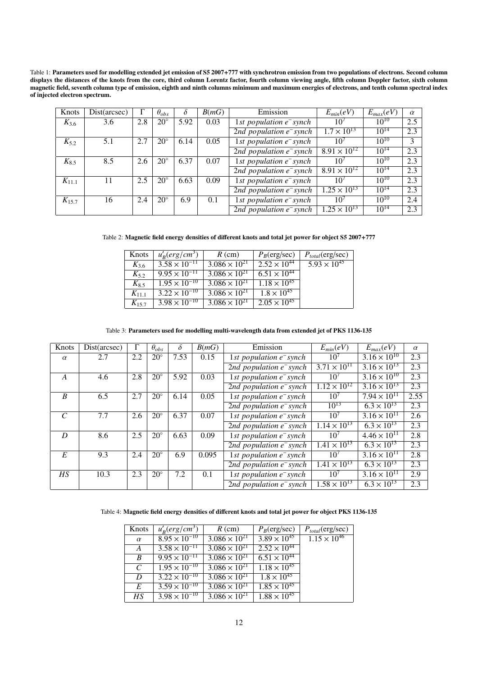Table 1: Parameters used for modelling extended jet emission of S5 2007+777 with synchrotron emission from two populations of electrons. Second column displays the distances of the knots from the core, third column Lorentz factor, fourth column viewing angle, fifth column Doppler factor, sixth column magnetic field, seventh column type of emission, eighth and ninth columns minimum and maximum energies of electrons, and tenth column spectral index of injected electron spectrum.

| Knots      | Dist(arcsec) |     | $\theta_{obs}$ | δ    | B(mG) | Emission                   | $E_{min}(eV)$         | $E_{max}(eV)$ | $\alpha$      |
|------------|--------------|-----|----------------|------|-------|----------------------------|-----------------------|---------------|---------------|
| $K_{3,6}$  | 3.6          | 2.8 | $20^{\circ}$   | 5.92 | 0.03  | 1st population $e^-$ synch | 10 <sup>7</sup>       | $10^{10}$     | 2.5           |
|            |              |     |                |      |       | 2nd population $e^-$ synch | $1.7 \times 10^{13}$  | $10^{14}$     | 2.3           |
| $K_{5,2}$  | 5.1          | 2.7 | $20^{\circ}$   | 6.14 | 0.05  | 1st population $e^-$ synch | 10 <sup>7</sup>       | $10^{10}$     | $\mathcal{Z}$ |
|            |              |     |                |      |       | 2nd population $e^-$ synch | $8.91 \times 10^{12}$ | $10^{14}$     | 2.3           |
| $K_{8.5}$  | 8.5          | 2.6 | $20^{\circ}$   | 6.37 | 0.07  | 1st population $e^-$ synch | $10^{7}$              | $10^{10}$     | 2.3           |
|            |              |     |                |      |       | 2nd population $e^-$ synch | $8.91 \times 10^{12}$ | $10^{14}$     | 2.3           |
| $K_{11.1}$ | 11           | 2.5 | $20^{\circ}$   | 6.63 | 0.09  | 1st population $e^-$ synch | $10^{7}$              | $10^{10}$     | 2.3           |
|            |              |     |                |      |       | 2nd population $e^-$ synch | $1.25 \times 10^{13}$ | $10^{14}$     | 2.3           |
| $K_{15,7}$ | 16           | 2.4 | $20^{\circ}$   | 6.9  | 0.1   | 1st population $e^-$ synch | $10^{7}$              | $10^{10}$     | 2.4           |
|            |              |     |                |      |       | 2nd population $e^-$ synch | $1.25 \times 10^{13}$ | $10^{14}$     | 2.3           |
|            |              |     |                |      |       |                            |                       |               |               |

Table 2: Magnetic field energy densities of different knots and total jet power for object S5 2007+777

| Knots      | $u'_B(erg/cm^3)$       | $R$ (cm)               | $P_B$ (erg/sec)       | $P_{total}$ (erg/sec) |
|------------|------------------------|------------------------|-----------------------|-----------------------|
| $K_{3,6}$  | $3.58 \times 10^{-11}$ | $3.086 \times 10^{21}$ | $2.52 \times 10^{44}$ | $5.93 \times 10^{45}$ |
| $K_5$      | $9.95 \times 10^{-11}$ | $3.086 \times 10^{21}$ | $6.51 \times 10^{44}$ |                       |
| $K_8$ 5    | $1.95 \times 10^{-10}$ | $3.086 \times 10^{21}$ | $1.18 \times 10^{45}$ |                       |
| $K_{11.1}$ | $3.22 \times 10^{-10}$ | $3.086 \times 10^{21}$ | $1.8 \times 10^{45}$  |                       |
| $K_{15.7}$ | $3.98 \times 10^{-10}$ | $3.086 \times 10^{21}$ | $2.05 \times 10^{45}$ |                       |
|            |                        |                        |                       |                       |

#### Table 3: Parameters used for modelling multi-wavelength data from extended jet of PKS 1136-135

| Knots            | Dist(arcsec) |     | $\theta_{obs}$ | $\delta$ | B(mG)                              | Emission                               | $E_{min}(eV)$         | $E_{max}(eV)$                   | $\alpha$ |
|------------------|--------------|-----|----------------|----------|------------------------------------|----------------------------------------|-----------------------|---------------------------------|----------|
| $\alpha$         | 2.7          | 2.2 | $20^{\circ}$   | 7.53     | 0.15                               | 1st population $e^-$ synch             | $10^{7}$              | $3.16 \times 10^{10}$           | 2.3      |
|                  |              |     |                |          |                                    | 2nd population $e^-$ synch             | $3.71 \times 10^{11}$ | $\frac{3.16 \times 10^{13}}{2}$ | 2.3      |
| $\boldsymbol{A}$ | 4.6          | 2.8 | $20^{\circ}$   | 5.92     | 0.03<br>1st population $e^-$ synch |                                        | $10^{7}$              | $3.16 \times 10^{10}$           | 2.3      |
|                  |              |     |                |          |                                    | 2nd population $e^-$ synch             | $1.12 \times 10^{12}$ | $3.16 \times 10^{13}$           | 2.3      |
| $\overline{B}$   | 6.5          | 2.7 | $20^{\circ}$   | 6.14     | 0.05                               | 1st population $e^-$ synch             | $10^{7}$              | $7.94 \times 10^{11}$           | 2.55     |
|                  |              |     |                |          |                                    | 2nd population $e^-$ synch             | $10^{13}$             | $6.3 \times 10^{13}$            | 2.3      |
| $\mathcal{C}$    | 7.7          | 2.6 | $20^{\circ}$   | 6.37     | 0.07                               | 1st population $e^-$ synch             | $10^{7}$              | $3.16 \times 10^{11}$           | 2.6      |
|                  |              |     |                |          |                                    | 2nd population $e^-$ synch             | $1.14 \times 10^{13}$ | $6.3 \times 10^{13}$            | 2.3      |
| D                | 8.6          | 2.5 | $20^{\circ}$   | 6.63     | 0.09                               | 1st population $e^-$ synch             | $10^{7}$              | $4.46 \times 10^{11}$           | 2.8      |
|                  |              |     |                |          |                                    | 2nd population $e^-$ synch             | $1.41 \times 10^{13}$ | $6.3 \times 10^{13}$            | 2.3      |
| E                | 9.3          | 2.4 | $20^{\circ}$   | 6.9      | 0.095                              | 1st population $e^-$ synch             | $10^{7}$              | $3.16 \times 10^{11}$           | 2.8      |
|                  |              |     |                |          |                                    | 2nd population $e^-$ synch             | $1.41 \times 10^{13}$ | $6.3 \times 10^{13}$            | 2.3      |
| HS               | 10.3         | 2.3 | $20^{\circ}$   | 7.2      | 0.1                                | $\overline{1st$ population $e^-$ synch | $10^{7}$              | $3.16 \times 10^{11}$           | 2.9      |
|                  |              |     |                |          |                                    | 2nd population $e^-$ synch             | $1.58 \times 10^{13}$ | $6.3 \times 10^{13}$            | 2.3      |
|                  |              |     |                |          |                                    |                                        |                       |                                 |          |

## Table 4: Magnetic field energy densities of different knots and total jet power for object PKS 1136-135

| Knots            | $u'_R(erg/cm^3)$       | $R$ (cm)               | $P_B$ (erg/sec)       | $P_{total}$ (erg/sec) |
|------------------|------------------------|------------------------|-----------------------|-----------------------|
| $\alpha$         | $8.95 \times 10^{-10}$ | $3.086 \times 10^{21}$ | $3.89 \times 10^{45}$ | $1.15 \times 10^{46}$ |
| $\boldsymbol{A}$ | $3.58 \times 10^{-11}$ | $3.086 \times 10^{21}$ | $2.52 \times 10^{44}$ |                       |
| $\boldsymbol{B}$ | $9.95 \times 10^{-11}$ | $3.086 \times 10^{21}$ | $6.51 \times 10^{44}$ |                       |
| $\mathcal{C}$    | $1.95 \times 10^{-10}$ | $3.086 \times 10^{21}$ | $1.18 \times 10^{45}$ |                       |
| D                | $3.22 \times 10^{-10}$ | $3.086 \times 10^{21}$ | $1.8 \times 10^{45}$  |                       |
| E                | $3.59 \times 10^{-10}$ | $3.086 \times 10^{21}$ | $1.85 \times 10^{45}$ |                       |
| HS               | $3.98 \times 10^{-10}$ | $3.086 \times 10^{21}$ | $1.88 \times 10^{45}$ |                       |
|                  |                        |                        |                       |                       |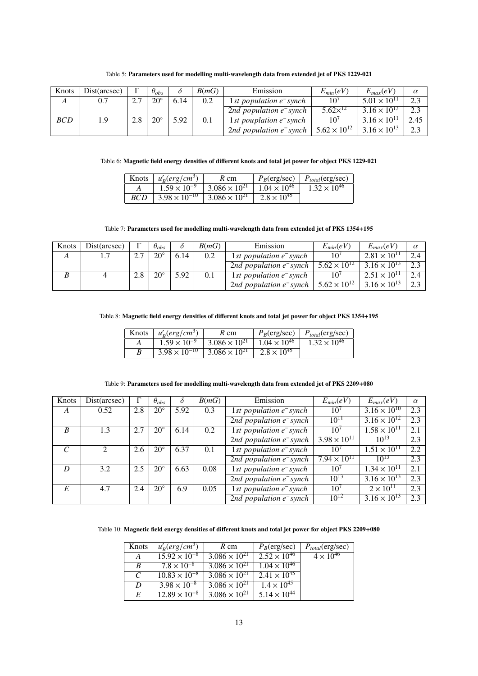| Knots      | Dist(arcsec) |     | $\theta_{obs}$ |      | B(mG) | Emission                   | $E_{min}(eV)$         | $E_{max}(eV)$         | $\alpha$ |
|------------|--------------|-----|----------------|------|-------|----------------------------|-----------------------|-----------------------|----------|
| A          | 0.7          |     | $20^{\circ}$   | 6.14 | 0.2   | 1st population $e^-$ synch | 10 <sup>7</sup>       | $5.01 \times 10^{11}$ | 2.3      |
|            |              |     |                |      |       | 2nd population $e^-$ synch | $5.62\times^{12}$     | $3.16 \times 10^{13}$ | 2.3      |
| <b>BCD</b> | 1.9          | 2.8 | $20^{\circ}$   | 5.92 | 0.1   | 1st pouplation $e^-$ synch | 10'                   | $3.16 \times 10^{11}$ | 2.45     |
|            |              |     |                |      |       | 2nd population $e^-$ synch | $5.62 \times 10^{12}$ | $3.16 \times 10^{13}$ | 2.3      |

# Table 5: Parameters used for modelling multi-wavelength data from extended jet of PKS 1229-021

# Table 6: Magnetic field energy densities of different knots and total jet power for object PKS 1229-021

| Knots | $u'_R(erg/cm^3)$               | $R \,$ cm                        |                       | $P_B(\text{erg/sec})$   $P_{total}(\text{erg/sec})$ |
|-------|--------------------------------|----------------------------------|-----------------------|-----------------------------------------------------|
|       | $1.59 \times 10^{-9}$          | $3.086 \times 10^{21}$           | $1.04 \times 10^{46}$ | $1.32 \times 10^{46}$                               |
|       | $BCD$   $3.98 \times 10^{-10}$ | $\frac{1}{3.086 \times 10^{21}}$ | $2.8 \times 10^{45}$  |                                                     |
|       |                                |                                  |                       |                                                     |

## Table 7: Parameters used for modelling multi-wavelength data from extended jet of PKS 1354+195

| Knots | Dist(arcsec) |                | $\theta_{obs}$ |      | B(mG)                             | Emission                   | $E_{min}(eV)$             | $E_{max}(eV)$         | $\alpha$ |
|-------|--------------|----------------|----------------|------|-----------------------------------|----------------------------|---------------------------|-----------------------|----------|
| А     |              | $\overline{ }$ | $20^{\circ}$   | 6.14 | 1st population $e^-$ synch<br>0.2 |                            | 10 <sup>7</sup>           | $2.81 \times 10^{11}$ |          |
|       |              |                |                |      |                                   | 2nd population $e^-$ synch | $5.62 \times 10^{12}$     | $3.16 \times 10^{13}$ | 2.3      |
|       |              | 2.8            | $20^{\circ}$   | 5.92 |                                   | 1st population $e^-$ synch | 10                        | $2.51 \times 10^{11}$ |          |
|       |              |                |                |      |                                   | 2nd population $e^-$ synch | $1.5.62 \times 10^{12}$ . | $3.16 \times 10^{13}$ | 2.3      |

# Table 8: Magnetic field energy densities of different knots and total jet power for object PKS 1354+195

|   | Knots $ u'_{B}(erg/cm^{3}) $ | $R \text{ cm}$                                                     |                      | $P_B$ (erg/sec)   $P_{total}$ (erg/sec) |
|---|------------------------------|--------------------------------------------------------------------|----------------------|-----------------------------------------|
|   |                              | $1.59 \times 10^{-9}$ 3.086 $\times 10^{21}$ 1.04 $\times 10^{46}$ |                      | $1.32 \times 10^{46}$                   |
| B |                              | $3.98 \times 10^{-10}$ $3.086 \times 10^{21}$                      | $2.8 \times 10^{45}$ |                                         |
|   |                              |                                                                    |                      |                                         |

| Table 9: Parameters used for modelling multi-wavelength data from extended jet of PKS 2209+080 |  |  |
|------------------------------------------------------------------------------------------------|--|--|
|                                                                                                |  |  |

| Knots            | Dist(arcsec)                |     | $\theta_{obs}$ | $\delta$ | B(mG) | Emission                   | $E_{min}(eV)$         | $E_{max}(eV)$         | $\alpha$ |
|------------------|-----------------------------|-----|----------------|----------|-------|----------------------------|-----------------------|-----------------------|----------|
| $\bm{A}$         | 0.52                        | 2.8 | $20^{\circ}$   | 5.92     | 0.3   | 1st population $e^-$ synch | 10 <sup>7</sup>       | $3.16 \times 10^{10}$ | 2.3      |
|                  |                             |     |                |          |       | 2nd population $e^-$ synch | $10^{11}$             | $3.16 \times 10^{12}$ | 2.3      |
| $\boldsymbol{B}$ | 1.3                         | 2.7 | $20^{\circ}$   | 6.14     | 0.2   | 1st population $e^-$ synch | $10^{7}$              | $1.58 \times 10^{11}$ | 2.1      |
|                  |                             |     |                |          |       | 2nd population $e^-$ synch | $3.98 \times 10^{11}$ | $10^{13}$             | 2.3      |
| $\mathcal{C}$    | $\mathcal{D}_{\mathcal{L}}$ | 2.6 | $20^{\circ}$   | 6.37     | 0.1   | 1st population $e^-$ synch | $10^{7}$              | $1.51 \times 10^{11}$ | 2.2      |
|                  |                             |     |                |          |       | 2nd population $e^-$ synch | $7.94 \times 10^{11}$ | $10^{13}$             | 2.3      |
| D                | 3.2                         | 2.5 | $20^{\circ}$   | 6.63     | 0.08  | 1st population $e^-$ synch | $10^{7}$              | $1.34 \times 10^{11}$ | 2.1      |
|                  |                             |     |                |          |       | 2nd population $e^-$ synch | $10^{13}$             | $3.16 \times 10^{13}$ | 2.3      |
| E                | 4.7                         | 2.4 | $20^{\circ}$   | 6.9      | 0.05  | 1st population $e^-$ synch | $10^{7}$              | $2 \times 10^{11}$    | 2.3      |
|                  |                             |     |                |          |       | 2nd population $e^-$ synch | $10^{12}$             | $3.16 \times 10^{13}$ | 2.3      |
|                  |                             |     |                |          |       |                            |                       |                       |          |

Table 10: Magnetic field energy densities of different knots and total jet power for object PKS 2209+080

| Knots | $u'_R(erg/cm^3)$       | $R \,$ cm              | $P_B$ (erg/sec)       | $P_{total}$ (erg/sec) |
|-------|------------------------|------------------------|-----------------------|-----------------------|
| A     | $15.92 \times 10^{-8}$ | $3.086 \times 10^{21}$ | $2.52 \times 10^{46}$ | $4 \times 10^{46}$    |
| B     | $7.8 \times 10^{-8}$   | $3.086 \times 10^{21}$ | $1.04 \times 10^{46}$ |                       |
| C     | $10.83 \times 10^{-8}$ | $3.086 \times 10^{21}$ | $2.41 \times 10^{45}$ |                       |
| D     | $3.98 \times 10^{-8}$  | $3.086 \times 10^{21}$ | $1.4 \times 10^{45}$  |                       |
| E     | $12.89 \times 10^{-8}$ | $3.086 \times 10^{21}$ | $5.14 \times 10^{44}$ |                       |
|       |                        |                        |                       |                       |